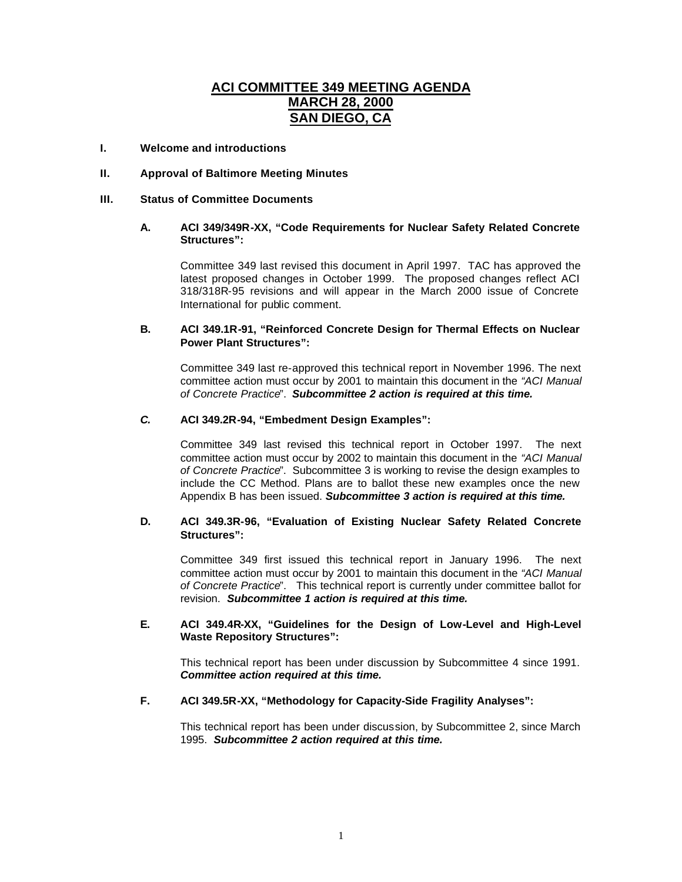# **ACI COMMITTEE 349 MEETING AGENDA MARCH 28, 2000 SAN DIEGO, CA**

# **I. Welcome and introductions**

## **II. Approval of Baltimore Meeting Minutes**

# **III. Status of Committee Documents**

## **A. ACI 349/349R-XX, "Code Requirements for Nuclear Safety Related Concrete Structures":**

Committee 349 last revised this document in April 1997. TAC has approved the latest proposed changes in October 1999. The proposed changes reflect ACI 318/318R-95 revisions and will appear in the March 2000 issue of Concrete International for public comment.

## **B. ACI 349.1R-91, "Reinforced Concrete Design for Thermal Effects on Nuclear Power Plant Structures":**

Committee 349 last re-approved this technical report in November 1996. The next committee action must occur by 2001 to maintain this document in the *"ACI Manual of Concrete Practice*". *Subcommittee 2 action is required at this time.*

#### *C.* **ACI 349.2R-94, "Embedment Design Examples":**

Committee 349 last revised this technical report in October 1997. The next committee action must occur by 2002 to maintain this document in the *"ACI Manual of Concrete Practice*". Subcommittee 3 is working to revise the design examples to include the CC Method. Plans are to ballot these new examples once the new Appendix B has been issued. *Subcommittee 3 action is required at this time.*

# **D. ACI 349.3R-96, "Evaluation of Existing Nuclear Safety Related Concrete Structures":**

Committee 349 first issued this technical report in January 1996. The next committee action must occur by 2001 to maintain this document in the *"ACI Manual of Concrete Practice*". This technical report is currently under committee ballot for revision. *Subcommittee 1 action is required at this time.*

# **E. ACI 349.4R-XX, "Guidelines for the Design of Low-Level and High-Level Waste Repository Structures":**

This technical report has been under discussion by Subcommittee 4 since 1991. *Committee action required at this time.*

#### **F. ACI 349.5R-XX, "Methodology for Capacity-Side Fragility Analyses":**

This technical report has been under discussion, by Subcommittee 2, since March 1995. *Subcommittee 2 action required at this time.*